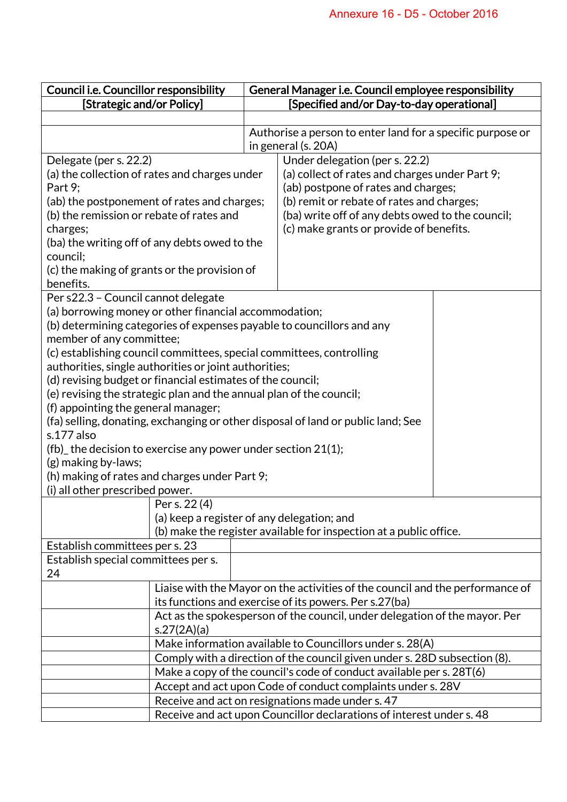| Council i.e. Councillor responsibility                                                                           |  | General Manager i.e. Council employee responsibility                          |  |  |
|------------------------------------------------------------------------------------------------------------------|--|-------------------------------------------------------------------------------|--|--|
| [Strategic and/or Policy]                                                                                        |  | [Specified and/or Day-to-day operational]                                     |  |  |
|                                                                                                                  |  |                                                                               |  |  |
|                                                                                                                  |  | Authorise a person to enter land for a specific purpose or                    |  |  |
|                                                                                                                  |  | in general (s. 20A)                                                           |  |  |
| Delegate (per s. 22.2)                                                                                           |  | Under delegation (per s. 22.2)                                                |  |  |
| (a) the collection of rates and charges under                                                                    |  | (a) collect of rates and charges under Part 9;                                |  |  |
| Part 9;                                                                                                          |  | (ab) postpone of rates and charges;                                           |  |  |
| (ab) the postponement of rates and charges;                                                                      |  | (b) remit or rebate of rates and charges;                                     |  |  |
| (b) the remission or rebate of rates and                                                                         |  | (ba) write off of any debts owed to the council;                              |  |  |
| charges;                                                                                                         |  | (c) make grants or provide of benefits.                                       |  |  |
| (ba) the writing off of any debts owed to the                                                                    |  |                                                                               |  |  |
| council;                                                                                                         |  |                                                                               |  |  |
| (c) the making of grants or the provision of                                                                     |  |                                                                               |  |  |
| benefits.                                                                                                        |  |                                                                               |  |  |
| Per s22.3 - Council cannot delegate                                                                              |  |                                                                               |  |  |
| (a) borrowing money or other financial accommodation;                                                            |  |                                                                               |  |  |
| (b) determining categories of expenses payable to councillors and any                                            |  |                                                                               |  |  |
| member of any committee;                                                                                         |  |                                                                               |  |  |
| (c) establishing council committees, special committees, controlling                                             |  |                                                                               |  |  |
| authorities, single authorities or joint authorities;                                                            |  |                                                                               |  |  |
| (d) revising budget or financial estimates of the council;                                                       |  |                                                                               |  |  |
| (e) revising the strategic plan and the annual plan of the council;                                              |  |                                                                               |  |  |
| (f) appointing the general manager;                                                                              |  |                                                                               |  |  |
| (fa) selling, donating, exchanging or other disposal of land or public land; See<br>s.177 also                   |  |                                                                               |  |  |
|                                                                                                                  |  |                                                                               |  |  |
| (fb) the decision to exercise any power under section 21(1);<br>(g) making by-laws;                              |  |                                                                               |  |  |
| (h) making of rates and charges under Part 9;                                                                    |  |                                                                               |  |  |
| (i) all other prescribed power.                                                                                  |  |                                                                               |  |  |
| Per s. 22(4)                                                                                                     |  |                                                                               |  |  |
|                                                                                                                  |  |                                                                               |  |  |
| (a) keep a register of any delegation; and<br>(b) make the register available for inspection at a public office. |  |                                                                               |  |  |
| Establish committees per s. 23                                                                                   |  |                                                                               |  |  |
| Establish special committees per s.                                                                              |  |                                                                               |  |  |
| 24                                                                                                               |  |                                                                               |  |  |
|                                                                                                                  |  | Liaise with the Mayor on the activities of the council and the performance of |  |  |
| its functions and exercise of its powers. Per s.27(ba)                                                           |  |                                                                               |  |  |
| Act as the spokesperson of the council, under delegation of the mayor. Per                                       |  |                                                                               |  |  |
| s.27(2A)(a)                                                                                                      |  |                                                                               |  |  |
| Make information available to Councillors under s. 28(A)                                                         |  |                                                                               |  |  |
| Comply with a direction of the council given under s. 28D subsection (8).                                        |  |                                                                               |  |  |
| Make a copy of the council's code of conduct available per s. 28T(6)                                             |  |                                                                               |  |  |
| Accept and act upon Code of conduct complaints under s. 28V                                                      |  |                                                                               |  |  |
| Receive and act on resignations made under s. 47                                                                 |  |                                                                               |  |  |
| Receive and act upon Councillor declarations of interest under s. 48                                             |  |                                                                               |  |  |